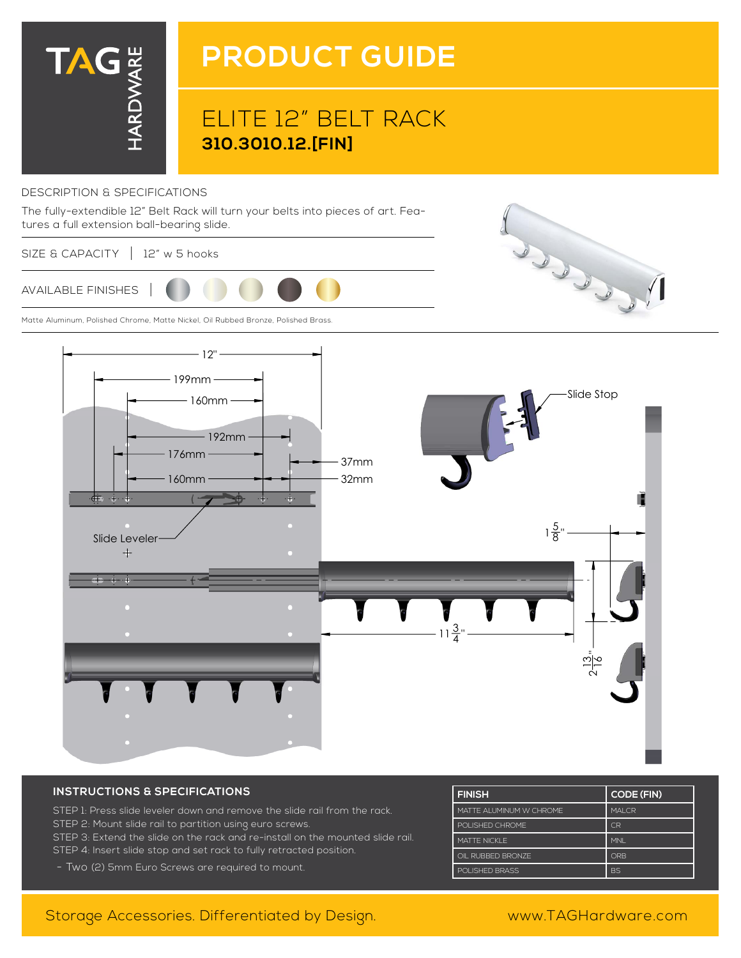

# **PRODUCT GUIDE**

## ELITE 12" BELT RACK **310.3010.12.[FIN]**

#### DESCRIPTION & SPECIFICATIONS

The fully-extendible 12" Belt Rack will turn your belts into pieces of art. Features a full extension ball-bearing slide.

SIZE & CAPACITY | 12" w 5 hooks



Matte Aluminum, Polished Chrome, Matte Nickel, Oil Rubbed Bronze, Polished Brass.



#### **INSTRUCTIONS & SPECIFICATIONS**

STEP 1: Press slide leveler down and remove the slide rail from the rack. STEP 2: Mount slide rail to partition using euro screws. STEP 3: Extend the slide on the rack and re-install on the mounted slide rail. STEP 4: Insert slide stop and set rack to fully retracted position.

- Two (2) 5mm Euro Screws are required to mount.

| <b>FINISH</b>            | <b>CODE (FIN)</b> |
|--------------------------|-------------------|
| MATTE AI UMINUM W CHROME | MAI CR            |
| POLISHED CHROME          | C <sub>R</sub>    |
| MATTE NICKI F            | <b>MNI</b>        |
| OIL RUBBED BRONZE        | ORB               |
| POLISHED BRASS           | <b>BS</b>         |

### Storage Accessories. Differentiated by Design. www.TAGHardware.com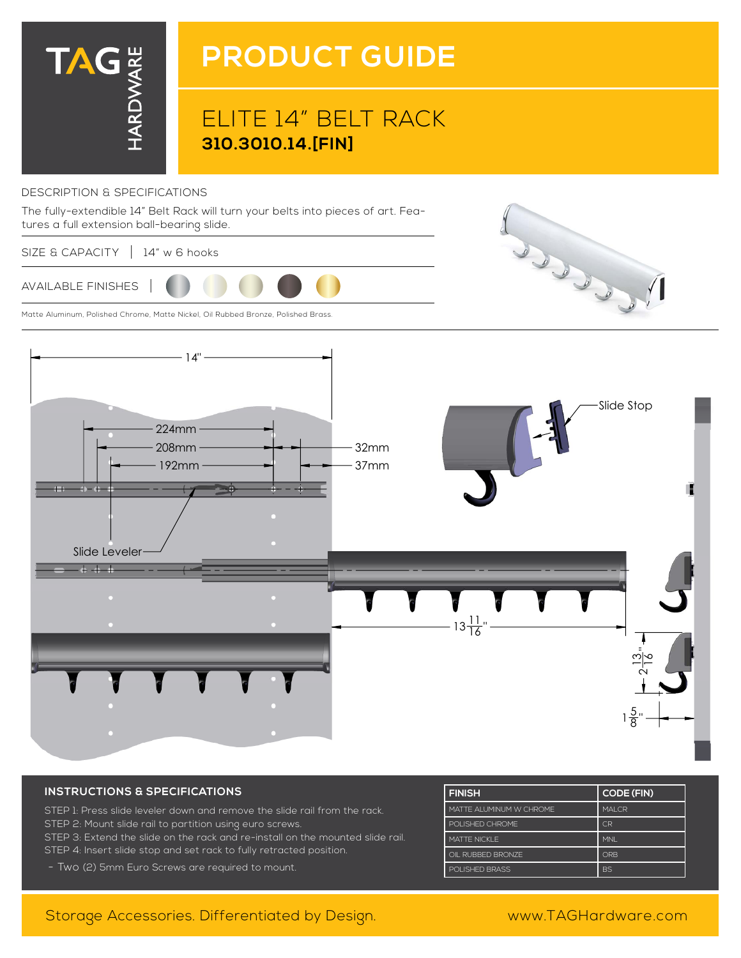

# **PRODUCT GUIDE**

## ELITE 14" BELT RACK **310.3010.14.[FIN]**

#### DESCRIPTION & SPECIFICATIONS



SIZE & CAPACITY | 14" w 6 hooks



Matte Aluminum, Polished Chrome, Matte Nickel, Oil Rubbed Bronze, Polished Brass.



#### **INSTRUCTIONS & SPECIFICATIONS**

- STEP 1: Press slide leveler down and remove the slide rail from the rack. STEP 2: Mount slide rail to partition using euro screws. STEP 3: Extend the slide on the rack and re-install on the mounted slide rail. STEP 4: Insert slide stop and set rack to fully retracted position.
- Two (2) 5mm Euro Screws are required to mount.

| <b>FINISH</b>            | <b>CODE (FIN)</b> |
|--------------------------|-------------------|
| MATTE AI UMINUM W CHROME | MAI CR            |
| POLISHED CHROME          | C <sub>R</sub>    |
| MATTE NICKI F            | <b>MNI</b>        |
| OIL RUBBED BRONZE        | ORB               |
| POLISHED BRASS           | <b>BS</b>         |

### Storage Accessories. Differentiated by Design. www.TAGHardware.com